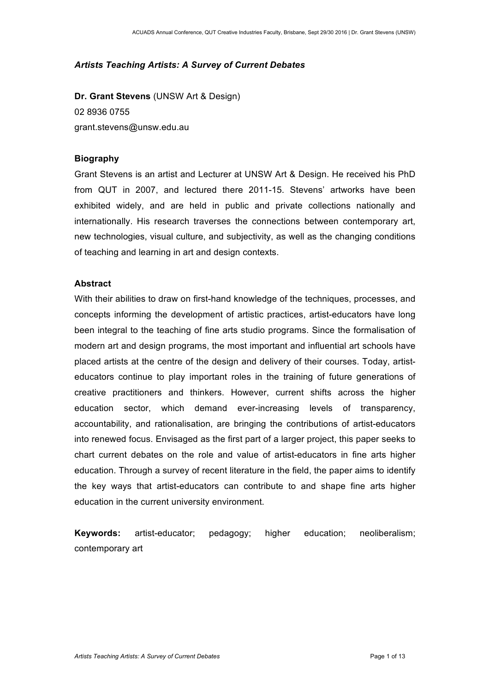# *Artists Teaching Artists: A Survey of Current Debates*

**Dr. Grant Stevens** (UNSW Art & Design) 02 8936 0755 grant.stevens@unsw.edu.au

## **Biography**

Grant Stevens is an artist and Lecturer at UNSW Art & Design. He received his PhD from QUT in 2007, and lectured there 2011-15. Stevens' artworks have been exhibited widely, and are held in public and private collections nationally and internationally. His research traverses the connections between contemporary art, new technologies, visual culture, and subjectivity, as well as the changing conditions of teaching and learning in art and design contexts.

## **Abstract**

With their abilities to draw on first-hand knowledge of the techniques, processes, and concepts informing the development of artistic practices, artist-educators have long been integral to the teaching of fine arts studio programs. Since the formalisation of modern art and design programs, the most important and influential art schools have placed artists at the centre of the design and delivery of their courses. Today, artisteducators continue to play important roles in the training of future generations of creative practitioners and thinkers. However, current shifts across the higher education sector, which demand ever-increasing levels of transparency, accountability, and rationalisation, are bringing the contributions of artist-educators into renewed focus. Envisaged as the first part of a larger project, this paper seeks to chart current debates on the role and value of artist-educators in fine arts higher education. Through a survey of recent literature in the field, the paper aims to identify the key ways that artist-educators can contribute to and shape fine arts higher education in the current university environment.

**Keywords:** artist-educator; pedagogy; higher education; neoliberalism; contemporary art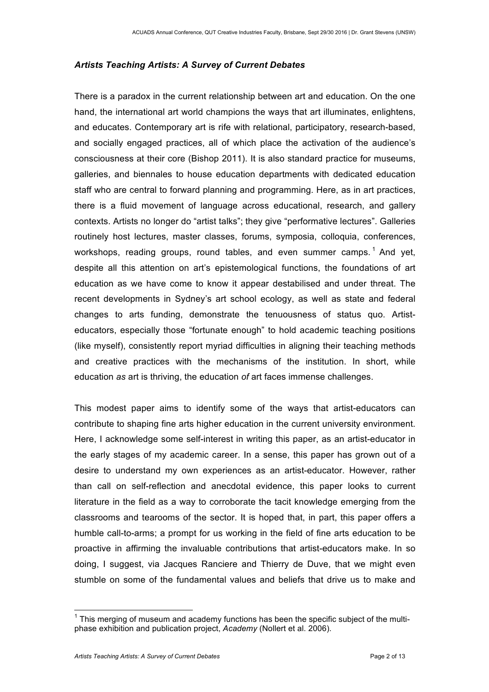# *Artists Teaching Artists: A Survey of Current Debates*

There is a paradox in the current relationship between art and education. On the one hand, the international art world champions the ways that art illuminates, enlightens, and educates. Contemporary art is rife with relational, participatory, research-based, and socially engaged practices, all of which place the activation of the audience's consciousness at their core (Bishop 2011). It is also standard practice for museums, galleries, and biennales to house education departments with dedicated education staff who are central to forward planning and programming. Here, as in art practices, there is a fluid movement of language across educational, research, and gallery contexts. Artists no longer do "artist talks"; they give "performative lectures". Galleries routinely host lectures, master classes, forums, symposia, colloquia, conferences, workshops, reading groups, round tables, and even summer camps.<sup>1</sup> And yet, despite all this attention on art's epistemological functions, the foundations of art education as we have come to know it appear destabilised and under threat. The recent developments in Sydney's art school ecology, as well as state and federal changes to arts funding, demonstrate the tenuousness of status quo. Artisteducators, especially those "fortunate enough" to hold academic teaching positions (like myself), consistently report myriad difficulties in aligning their teaching methods and creative practices with the mechanisms of the institution. In short, while education *as* art is thriving, the education *of* art faces immense challenges.

This modest paper aims to identify some of the ways that artist-educators can contribute to shaping fine arts higher education in the current university environment. Here, I acknowledge some self-interest in writing this paper, as an artist-educator in the early stages of my academic career. In a sense, this paper has grown out of a desire to understand my own experiences as an artist-educator. However, rather than call on self-reflection and anecdotal evidence, this paper looks to current literature in the field as a way to corroborate the tacit knowledge emerging from the classrooms and tearooms of the sector. It is hoped that, in part, this paper offers a humble call-to-arms; a prompt for us working in the field of fine arts education to be proactive in affirming the invaluable contributions that artist-educators make. In so doing, I suggest, via Jacques Ranciere and Thierry de Duve, that we might even stumble on some of the fundamental values and beliefs that drive us to make and

 $<sup>1</sup>$  This merging of museum and academy functions has been the specific subject of the multi-</sup> phase exhibition and publication project, *Academy* (Nollert et al. 2006).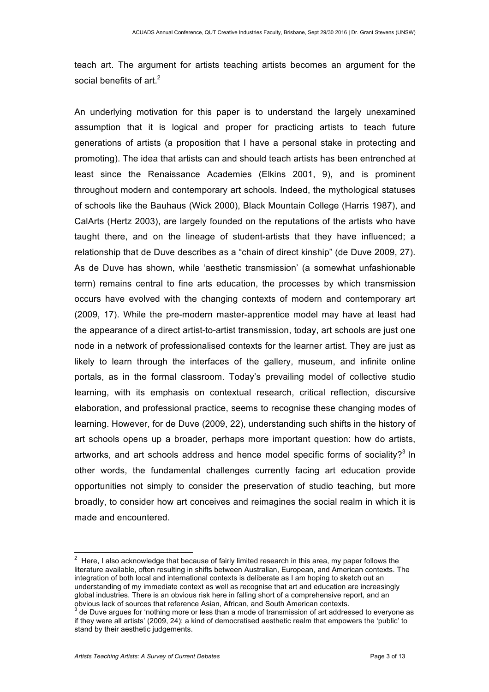teach art. The argument for artists teaching artists becomes an argument for the social benefits of  $art<sup>2</sup>$ 

An underlying motivation for this paper is to understand the largely unexamined assumption that it is logical and proper for practicing artists to teach future generations of artists (a proposition that I have a personal stake in protecting and promoting). The idea that artists can and should teach artists has been entrenched at least since the Renaissance Academies (Elkins 2001, 9), and is prominent throughout modern and contemporary art schools. Indeed, the mythological statuses of schools like the Bauhaus (Wick 2000), Black Mountain College (Harris 1987), and CalArts (Hertz 2003), are largely founded on the reputations of the artists who have taught there, and on the lineage of student-artists that they have influenced; a relationship that de Duve describes as a "chain of direct kinship" (de Duve 2009, 27). As de Duve has shown, while 'aesthetic transmission' (a somewhat unfashionable term) remains central to fine arts education, the processes by which transmission occurs have evolved with the changing contexts of modern and contemporary art (2009, 17). While the pre-modern master-apprentice model may have at least had the appearance of a direct artist-to-artist transmission, today, art schools are just one node in a network of professionalised contexts for the learner artist. They are just as likely to learn through the interfaces of the gallery, museum, and infinite online portals, as in the formal classroom. Today's prevailing model of collective studio learning, with its emphasis on contextual research, critical reflection, discursive elaboration, and professional practice, seems to recognise these changing modes of learning. However, for de Duve (2009, 22), understanding such shifts in the history of art schools opens up a broader, perhaps more important question: how do artists, artworks, and art schools address and hence model specific forms of sociality?<sup>3</sup> In other words, the fundamental challenges currently facing art education provide opportunities not simply to consider the preservation of studio teaching, but more broadly, to consider how art conceives and reimagines the social realm in which it is made and encountered.

 $2$  Here, I also acknowledge that because of fairly limited research in this area, my paper follows the literature available, often resulting in shifts between Australian, European, and American contexts. The integration of both local and international contexts is deliberate as I am hoping to sketch out an understanding of my immediate context as well as recognise that art and education are increasingly global industries. There is an obvious risk here in falling short of a comprehensive report, and an obvious lack of sources that reference Asian, African, and South American contexts.

 $3$  de Duve argues for 'nothing more or less than a mode of transmission of art addressed to everyone as if they were all artists' (2009, 24); a kind of democratised aesthetic realm that empowers the 'public' to stand by their aesthetic judgements.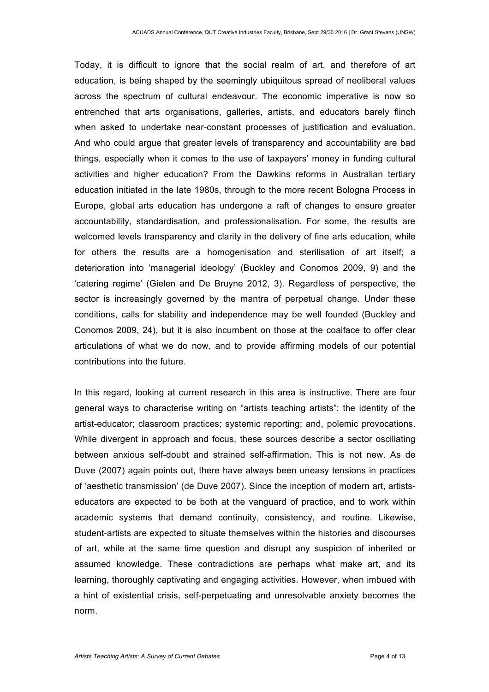Today, it is difficult to ignore that the social realm of art, and therefore of art education, is being shaped by the seemingly ubiquitous spread of neoliberal values across the spectrum of cultural endeavour. The economic imperative is now so entrenched that arts organisations, galleries, artists, and educators barely flinch when asked to undertake near-constant processes of justification and evaluation. And who could argue that greater levels of transparency and accountability are bad things, especially when it comes to the use of taxpayers' money in funding cultural activities and higher education? From the Dawkins reforms in Australian tertiary education initiated in the late 1980s, through to the more recent Bologna Process in Europe, global arts education has undergone a raft of changes to ensure greater accountability, standardisation, and professionalisation. For some, the results are welcomed levels transparency and clarity in the delivery of fine arts education, while for others the results are a homogenisation and sterilisation of art itself; a deterioration into 'managerial ideology' (Buckley and Conomos 2009, 9) and the 'catering regime' (Gielen and De Bruyne 2012, 3). Regardless of perspective, the sector is increasingly governed by the mantra of perpetual change. Under these conditions, calls for stability and independence may be well founded (Buckley and Conomos 2009, 24), but it is also incumbent on those at the coalface to offer clear articulations of what we do now, and to provide affirming models of our potential contributions into the future.

In this regard, looking at current research in this area is instructive. There are four general ways to characterise writing on "artists teaching artists": the identity of the artist-educator; classroom practices; systemic reporting; and, polemic provocations. While divergent in approach and focus, these sources describe a sector oscillating between anxious self-doubt and strained self-affirmation. This is not new. As de Duve (2007) again points out, there have always been uneasy tensions in practices of 'aesthetic transmission' (de Duve 2007). Since the inception of modern art, artistseducators are expected to be both at the vanguard of practice, and to work within academic systems that demand continuity, consistency, and routine. Likewise, student-artists are expected to situate themselves within the histories and discourses of art, while at the same time question and disrupt any suspicion of inherited or assumed knowledge. These contradictions are perhaps what make art, and its learning, thoroughly captivating and engaging activities. However, when imbued with a hint of existential crisis, self-perpetuating and unresolvable anxiety becomes the norm.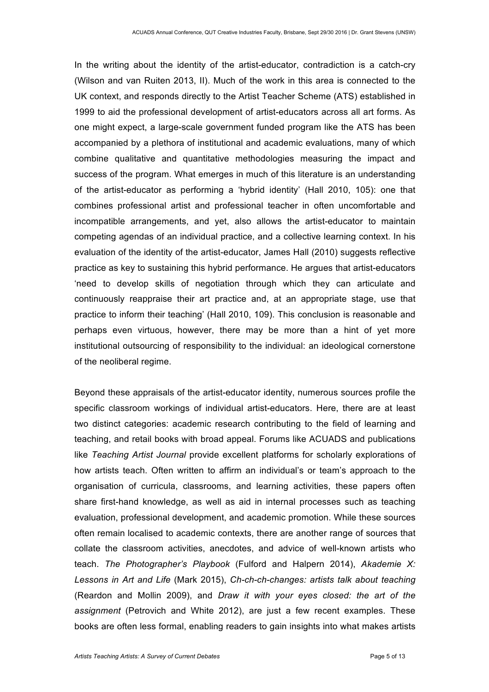In the writing about the identity of the artist-educator, contradiction is a catch-cry (Wilson and van Ruiten 2013, II). Much of the work in this area is connected to the UK context, and responds directly to the Artist Teacher Scheme (ATS) established in 1999 to aid the professional development of artist-educators across all art forms. As one might expect, a large-scale government funded program like the ATS has been accompanied by a plethora of institutional and academic evaluations, many of which combine qualitative and quantitative methodologies measuring the impact and success of the program. What emerges in much of this literature is an understanding of the artist-educator as performing a 'hybrid identity' (Hall 2010, 105): one that combines professional artist and professional teacher in often uncomfortable and incompatible arrangements, and yet, also allows the artist-educator to maintain competing agendas of an individual practice, and a collective learning context. In his evaluation of the identity of the artist-educator, James Hall (2010) suggests reflective practice as key to sustaining this hybrid performance. He argues that artist-educators 'need to develop skills of negotiation through which they can articulate and continuously reappraise their art practice and, at an appropriate stage, use that practice to inform their teaching' (Hall 2010, 109). This conclusion is reasonable and perhaps even virtuous, however, there may be more than a hint of yet more institutional outsourcing of responsibility to the individual: an ideological cornerstone of the neoliberal regime.

Beyond these appraisals of the artist-educator identity, numerous sources profile the specific classroom workings of individual artist-educators. Here, there are at least two distinct categories: academic research contributing to the field of learning and teaching, and retail books with broad appeal. Forums like ACUADS and publications like *Teaching Artist Journal* provide excellent platforms for scholarly explorations of how artists teach. Often written to affirm an individual's or team's approach to the organisation of curricula, classrooms, and learning activities, these papers often share first-hand knowledge, as well as aid in internal processes such as teaching evaluation, professional development, and academic promotion. While these sources often remain localised to academic contexts, there are another range of sources that collate the classroom activities, anecdotes, and advice of well-known artists who teach. *The Photographer's Playbook* (Fulford and Halpern 2014), *Akademie X: Lessons in Art and Life* (Mark 2015), *Ch-ch-ch-changes: artists talk about teaching* (Reardon and Mollin 2009), and *Draw it with your eyes closed: the art of the assignment* (Petrovich and White 2012), are just a few recent examples. These books are often less formal, enabling readers to gain insights into what makes artists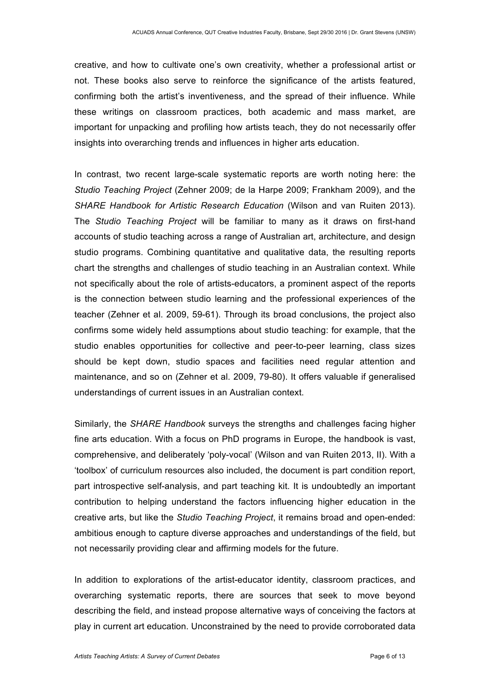creative, and how to cultivate one's own creativity, whether a professional artist or not. These books also serve to reinforce the significance of the artists featured, confirming both the artist's inventiveness, and the spread of their influence. While these writings on classroom practices, both academic and mass market, are important for unpacking and profiling how artists teach, they do not necessarily offer insights into overarching trends and influences in higher arts education.

In contrast, two recent large-scale systematic reports are worth noting here: the *Studio Teaching Project* (Zehner 2009; de la Harpe 2009; Frankham 2009), and the *SHARE Handbook for Artistic Research Education* (Wilson and van Ruiten 2013). The *Studio Teaching Project* will be familiar to many as it draws on first-hand accounts of studio teaching across a range of Australian art, architecture, and design studio programs. Combining quantitative and qualitative data, the resulting reports chart the strengths and challenges of studio teaching in an Australian context. While not specifically about the role of artists-educators, a prominent aspect of the reports is the connection between studio learning and the professional experiences of the teacher (Zehner et al. 2009, 59-61). Through its broad conclusions, the project also confirms some widely held assumptions about studio teaching: for example, that the studio enables opportunities for collective and peer-to-peer learning, class sizes should be kept down, studio spaces and facilities need regular attention and maintenance, and so on (Zehner et al. 2009, 79-80). It offers valuable if generalised understandings of current issues in an Australian context.

Similarly, the *SHARE Handbook* surveys the strengths and challenges facing higher fine arts education. With a focus on PhD programs in Europe, the handbook is vast, comprehensive, and deliberately 'poly-vocal' (Wilson and van Ruiten 2013, II). With a 'toolbox' of curriculum resources also included, the document is part condition report, part introspective self-analysis, and part teaching kit. It is undoubtedly an important contribution to helping understand the factors influencing higher education in the creative arts, but like the *Studio Teaching Project*, it remains broad and open-ended: ambitious enough to capture diverse approaches and understandings of the field, but not necessarily providing clear and affirming models for the future.

In addition to explorations of the artist-educator identity, classroom practices, and overarching systematic reports, there are sources that seek to move beyond describing the field, and instead propose alternative ways of conceiving the factors at play in current art education. Unconstrained by the need to provide corroborated data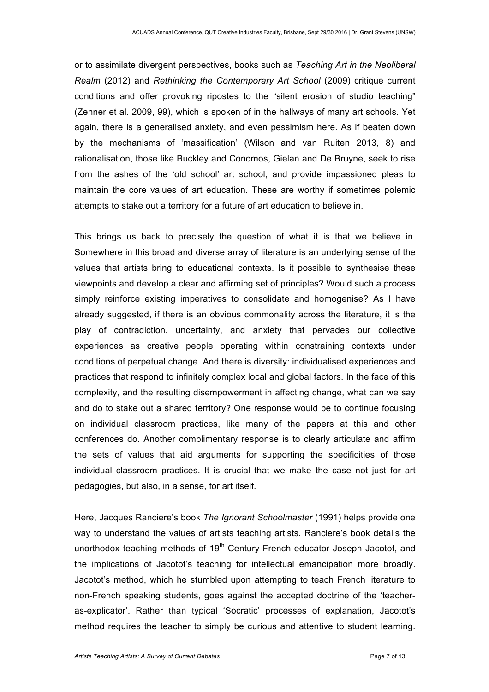or to assimilate divergent perspectives, books such as *Teaching Art in the Neoliberal Realm* (2012) and *Rethinking the Contemporary Art School* (2009) critique current conditions and offer provoking ripostes to the "silent erosion of studio teaching" (Zehner et al. 2009, 99), which is spoken of in the hallways of many art schools. Yet again, there is a generalised anxiety, and even pessimism here. As if beaten down by the mechanisms of 'massification' (Wilson and van Ruiten 2013, 8) and rationalisation, those like Buckley and Conomos, Gielan and De Bruyne, seek to rise from the ashes of the 'old school' art school, and provide impassioned pleas to maintain the core values of art education. These are worthy if sometimes polemic attempts to stake out a territory for a future of art education to believe in.

This brings us back to precisely the question of what it is that we believe in. Somewhere in this broad and diverse array of literature is an underlying sense of the values that artists bring to educational contexts. Is it possible to synthesise these viewpoints and develop a clear and affirming set of principles? Would such a process simply reinforce existing imperatives to consolidate and homogenise? As I have already suggested, if there is an obvious commonality across the literature, it is the play of contradiction, uncertainty, and anxiety that pervades our collective experiences as creative people operating within constraining contexts under conditions of perpetual change. And there is diversity: individualised experiences and practices that respond to infinitely complex local and global factors. In the face of this complexity, and the resulting disempowerment in affecting change, what can we say and do to stake out a shared territory? One response would be to continue focusing on individual classroom practices, like many of the papers at this and other conferences do. Another complimentary response is to clearly articulate and affirm the sets of values that aid arguments for supporting the specificities of those individual classroom practices. It is crucial that we make the case not just for art pedagogies, but also, in a sense, for art itself.

Here, Jacques Ranciere's book *The Ignorant Schoolmaster* (1991) helps provide one way to understand the values of artists teaching artists. Ranciere's book details the unorthodox teaching methods of 19<sup>th</sup> Century French educator Joseph Jacotot, and the implications of Jacotot's teaching for intellectual emancipation more broadly. Jacotot's method, which he stumbled upon attempting to teach French literature to non-French speaking students, goes against the accepted doctrine of the 'teacheras-explicator'. Rather than typical 'Socratic' processes of explanation, Jacotot's method requires the teacher to simply be curious and attentive to student learning.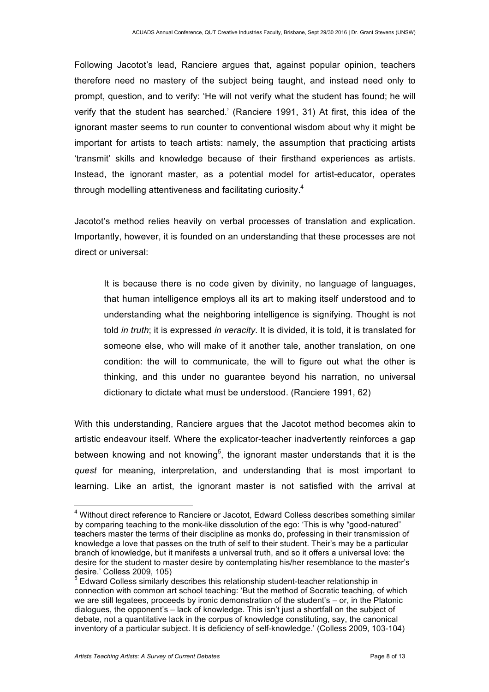Following Jacotot's lead, Ranciere argues that, against popular opinion, teachers therefore need no mastery of the subject being taught, and instead need only to prompt, question, and to verify: 'He will not verify what the student has found; he will verify that the student has searched.' (Ranciere 1991, 31) At first, this idea of the ignorant master seems to run counter to conventional wisdom about why it might be important for artists to teach artists: namely, the assumption that practicing artists 'transmit' skills and knowledge because of their firsthand experiences as artists. Instead, the ignorant master, as a potential model for artist-educator, operates through modelling attentiveness and facilitating curiosity.<sup>4</sup>

Jacotot's method relies heavily on verbal processes of translation and explication. Importantly, however, it is founded on an understanding that these processes are not direct or universal:

It is because there is no code given by divinity, no language of languages, that human intelligence employs all its art to making itself understood and to understanding what the neighboring intelligence is signifying. Thought is not told *in truth*; it is expressed *in veracity*. It is divided, it is told, it is translated for someone else, who will make of it another tale, another translation, on one condition: the will to communicate, the will to figure out what the other is thinking, and this under no guarantee beyond his narration, no universal dictionary to dictate what must be understood. (Ranciere 1991, 62)

With this understanding, Ranciere argues that the Jacotot method becomes akin to artistic endeavour itself. Where the explicator-teacher inadvertently reinforces a gap between knowing and not knowing<sup>5</sup>, the ignorant master understands that it is the *quest* for meaning, interpretation, and understanding that is most important to learning. Like an artist, the ignorant master is not satisfied with the arrival at

<sup>&</sup>lt;sup>4</sup> Without direct reference to Ranciere or Jacotot, Edward Colless describes something similar by comparing teaching to the monk-like dissolution of the ego: 'This is why "good-natured" teachers master the terms of their discipline as monks do, professing in their transmission of knowledge a love that passes on the truth of self to their student. Their's may be a particular branch of knowledge, but it manifests a universal truth, and so it offers a universal love: the desire for the student to master desire by contemplating his/her resemblance to the master's desire.' Colless 2009, 105)<br><sup>5</sup> Edward Colless similarly describes this relationship student-teacher relationship in

connection with common art school teaching: 'But the method of Socratic teaching, of which we are still legatees, proceeds by ironic demonstration of the student's – or, in the Platonic dialogues, the opponent's – lack of knowledge. This isn't just a shortfall on the subject of debate, not a quantitative lack in the corpus of knowledge constituting, say, the canonical inventory of a particular subject. It is deficiency of self-knowledge.' (Colless 2009, 103-104)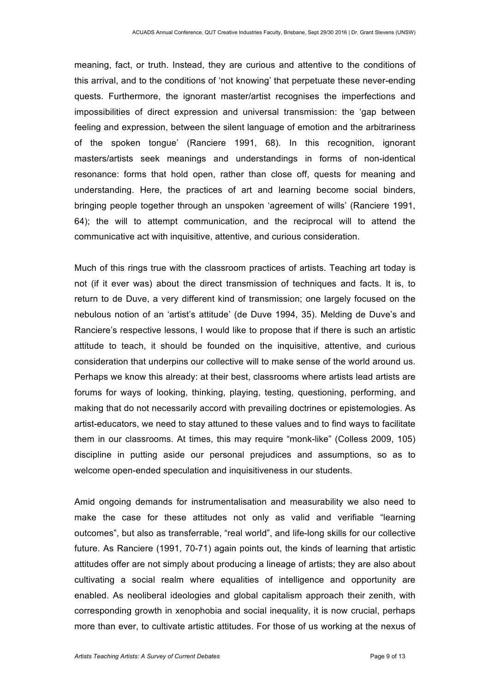meaning, fact, or truth. Instead, they are curious and attentive to the conditions of this arrival, and to the conditions of 'not knowing' that perpetuate these never-ending quests. Furthermore, the ignorant master/artist recognises the imperfections and impossibilities of direct expression and universal transmission: the 'gap between feeling and expression, between the silent language of emotion and the arbitrariness of the spoken tongue' (Ranciere 1991, 68). In this recognition, ignorant masters/artists seek meanings and understandings in forms of non-identical resonance: forms that hold open, rather than close off, quests for meaning and understanding. Here, the practices of art and learning become social binders, bringing people together through an unspoken 'agreement of wills' (Ranciere 1991, 64); the will to attempt communication, and the reciprocal will to attend the communicative act with inquisitive, attentive, and curious consideration.

Much of this rings true with the classroom practices of artists. Teaching art today is not (if it ever was) about the direct transmission of techniques and facts. It is, to return to de Duve, a very different kind of transmission; one largely focused on the nebulous notion of an 'artist's attitude' (de Duve 1994, 35). Melding de Duve's and Ranciere's respective lessons, I would like to propose that if there is such an artistic attitude to teach, it should be founded on the inquisitive, attentive, and curious consideration that underpins our collective will to make sense of the world around us. Perhaps we know this already: at their best, classrooms where artists lead artists are forums for ways of looking, thinking, playing, testing, questioning, performing, and making that do not necessarily accord with prevailing doctrines or epistemologies. As artist-educators, we need to stay attuned to these values and to find ways to facilitate them in our classrooms. At times, this may require "monk-like" (Colless 2009, 105) discipline in putting aside our personal prejudices and assumptions, so as to welcome open-ended speculation and inquisitiveness in our students.

Amid ongoing demands for instrumentalisation and measurability we also need to make the case for these attitudes not only as valid and verifiable "learning outcomes", but also as transferrable, "real world", and life-long skills for our collective future. As Ranciere (1991, 70-71) again points out, the kinds of learning that artistic attitudes offer are not simply about producing a lineage of artists; they are also about cultivating a social realm where equalities of intelligence and opportunity are enabled. As neoliberal ideologies and global capitalism approach their zenith, with corresponding growth in xenophobia and social inequality, it is now crucial, perhaps more than ever, to cultivate artistic attitudes. For those of us working at the nexus of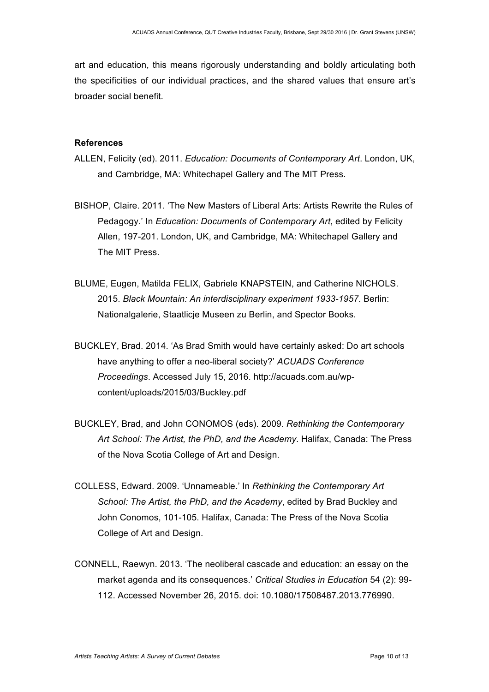art and education, this means rigorously understanding and boldly articulating both the specificities of our individual practices, and the shared values that ensure art's broader social benefit.

#### **References**

- ALLEN, Felicity (ed). 2011. *Education: Documents of Contemporary Art*. London, UK, and Cambridge, MA: Whitechapel Gallery and The MIT Press.
- BISHOP, Claire. 2011. 'The New Masters of Liberal Arts: Artists Rewrite the Rules of Pedagogy.' In *Education: Documents of Contemporary Art*, edited by Felicity Allen, 197-201. London, UK, and Cambridge, MA: Whitechapel Gallery and The MIT Press.
- BLUME, Eugen, Matilda FELIX, Gabriele KNAPSTEIN, and Catherine NICHOLS. 2015. *Black Mountain: An interdisciplinary experiment 1933-1957*. Berlin: Nationalgalerie, Staatlicje Museen zu Berlin, and Spector Books.
- BUCKLEY, Brad. 2014. 'As Brad Smith would have certainly asked: Do art schools have anything to offer a neo-liberal society?' *ACUADS Conference Proceedings*. Accessed July 15, 2016. http://acuads.com.au/wpcontent/uploads/2015/03/Buckley.pdf
- BUCKLEY, Brad, and John CONOMOS (eds). 2009. *Rethinking the Contemporary Art School: The Artist, the PhD, and the Academy*. Halifax, Canada: The Press of the Nova Scotia College of Art and Design.
- COLLESS, Edward. 2009. 'Unnameable.' In *Rethinking the Contemporary Art School: The Artist, the PhD, and the Academy*, edited by Brad Buckley and John Conomos, 101-105. Halifax, Canada: The Press of the Nova Scotia College of Art and Design.
- CONNELL, Raewyn. 2013. 'The neoliberal cascade and education: an essay on the market agenda and its consequences.' *Critical Studies in Education* 54 (2): 99- 112. Accessed November 26, 2015. doi: 10.1080/17508487.2013.776990.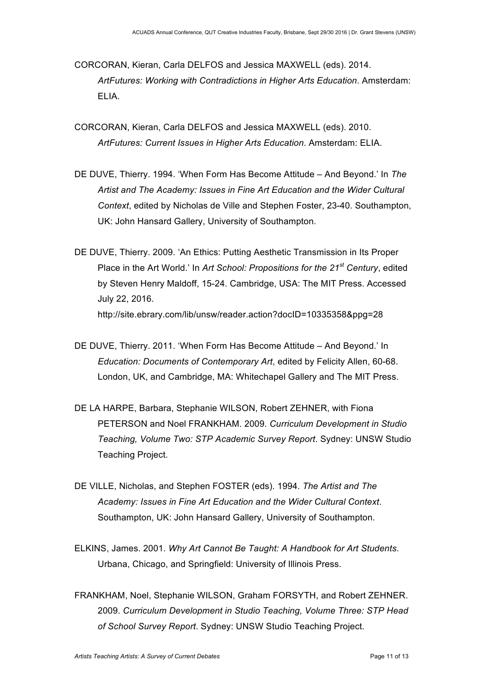- CORCORAN, Kieran, Carla DELFOS and Jessica MAXWELL (eds). 2014. *ArtFutures: Working with Contradictions in Higher Arts Education*. Amsterdam: ELIA.
- CORCORAN, Kieran, Carla DELFOS and Jessica MAXWELL (eds). 2010. *ArtFutures: Current Issues in Higher Arts Education*. Amsterdam: ELIA.
- DE DUVE, Thierry. 1994. 'When Form Has Become Attitude And Beyond.' In *The Artist and The Academy: Issues in Fine Art Education and the Wider Cultural Context*, edited by Nicholas de Ville and Stephen Foster, 23-40. Southampton, UK: John Hansard Gallery, University of Southampton.
- DE DUVE, Thierry. 2009. 'An Ethics: Putting Aesthetic Transmission in Its Proper Place in the Art World.' In *Art School: Propositions for the 21st Century*, edited by Steven Henry Maldoff, 15-24. Cambridge, USA: The MIT Press. Accessed July 22, 2016. http://site.ebrary.com/lib/unsw/reader.action?docID=10335358&ppg=28
- DE DUVE, Thierry. 2011. 'When Form Has Become Attitude And Beyond.' In *Education: Documents of Contemporary Art*, edited by Felicity Allen, 60-68. London, UK, and Cambridge, MA: Whitechapel Gallery and The MIT Press.
- DE LA HARPE, Barbara, Stephanie WILSON, Robert ZEHNER, with Fiona PETERSON and Noel FRANKHAM. 2009. *Curriculum Development in Studio Teaching, Volume Two: STP Academic Survey Report*. Sydney: UNSW Studio Teaching Project.
- DE VILLE, Nicholas, and Stephen FOSTER (eds). 1994. *The Artist and The Academy: Issues in Fine Art Education and the Wider Cultural Context*. Southampton, UK: John Hansard Gallery, University of Southampton.
- ELKINS, James. 2001. *Why Art Cannot Be Taught: A Handbook for Art Students*. Urbana, Chicago, and Springfield: University of Illinois Press.
- FRANKHAM, Noel, Stephanie WILSON, Graham FORSYTH, and Robert ZEHNER. 2009. *Curriculum Development in Studio Teaching, Volume Three: STP Head of School Survey Report*. Sydney: UNSW Studio Teaching Project.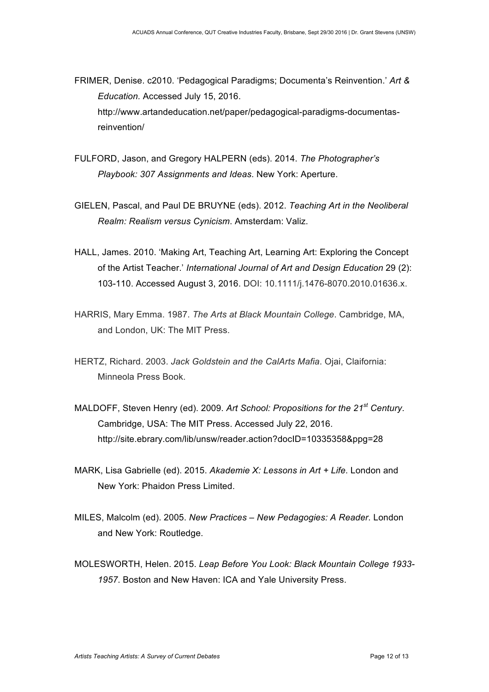FRIMER, Denise. c2010. 'Pedagogical Paradigms; Documenta's Reinvention.' *Art & Education.* Accessed July 15, 2016. http://www.artandeducation.net/paper/pedagogical-paradigms-documentasreinvention/

- FULFORD, Jason, and Gregory HALPERN (eds). 2014. *The Photographer's Playbook: 307 Assignments and Ideas*. New York: Aperture.
- GIELEN, Pascal, and Paul DE BRUYNE (eds). 2012. *Teaching Art in the Neoliberal Realm: Realism versus Cynicism*. Amsterdam: Valiz.
- HALL, James. 2010. 'Making Art, Teaching Art, Learning Art: Exploring the Concept of the Artist Teacher.' *International Journal of Art and Design Education* 29 (2): 103-110. Accessed August 3, 2016. DOI: 10.1111/j.1476-8070.2010.01636.x.
- HARRIS, Mary Emma. 1987. *The Arts at Black Mountain College*. Cambridge, MA, and London, UK: The MIT Press.
- HERTZ, Richard. 2003. *Jack Goldstein and the CalArts Mafia*. Ojai, Claifornia: Minneola Press Book.
- MALDOFF, Steven Henry (ed). 2009. *Art School: Propositions for the 21st Century*. Cambridge, USA: The MIT Press. Accessed July 22, 2016. http://site.ebrary.com/lib/unsw/reader.action?docID=10335358&ppg=28
- MARK, Lisa Gabrielle (ed). 2015. *Akademie X: Lessons in Art + Life*. London and New York: Phaidon Press Limited.
- MILES, Malcolm (ed). 2005. *New Practices – New Pedagogies: A Reader.* London and New York: Routledge.
- MOLESWORTH, Helen. 2015. *Leap Before You Look: Black Mountain College 1933- 1957*. Boston and New Haven: ICA and Yale University Press.